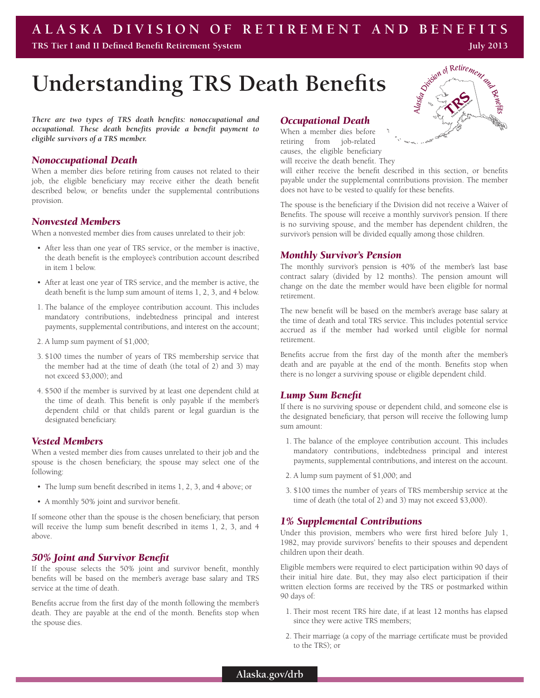# **ALASKA DIVISION OF RETIREMENT AND BENEFITS**

**TRS Tier I and II Defined Benefit Retirement System**

# **Understanding TRS Death Benefits**

*There are two types of TRS death benefits: nonoccupational and occupational. These death benefits provide a benefit payment to eligible survivors of a TRS member.* 

#### *Nonoccupational Death*

When a member dies before retiring from causes not related to their job, the eligible beneficiary may receive either the death benefit described below, or benefits under the supplemental contributions provision.

#### *Nonvested Members*

When a nonvested member dies from causes unrelated to their job:

- After less than one year of TRS service, or the member is inactive, the death benefit is the employee's contribution account described in item 1 below.
- • After at least one year of TRS service, and the member is active, the death benefit is the lump sum amount of items 1, 2, 3, and 4 below.
- 1. The balance of the employee contribution account. This includes mandatory contributions, indebtedness principal and interest payments, supplemental contributions, and interest on the account;
- 2. A lump sum payment of \$1,000;
- 3. \$100 times the number of years of TRS membership service that the member had at the time of death (the total of 2) and 3) may not exceed \$3,000); and
- 4. \$500 if the member is survived by at least one dependent child at the time of death. This benefit is only payable if the member's dependent child or that child's parent or legal guardian is the designated beneficiary.

#### *Vested Members*

When a vested member dies from causes unrelated to their job and the spouse is the chosen beneficiary, the spouse may select one of the following:

- The lump sum benefit described in items 1, 2, 3, and 4 above; or
- A monthly 50% joint and survivor benefit.

If someone other than the spouse is the chosen beneficiary, that person will receive the lump sum benefit described in items 1, 2, 3, and 4 above.

#### *50% Joint and Survivor Benefit*

If the spouse selects the 50% joint and survivor benefit, monthly benefits will be based on the member's average base salary and TRS service at the time of death.

Benefits accrue from the first day of the month following the member's death. They are payable at the end of the month. Benefits stop when the spouse dies.

#### *Occupational Death*

When a member dies before retiring from job-related causes, the eligible beneficiary will receive the death benefit. They

will either receive the benefit described in this section, or benefits payable under the supplemental contributions provision. The member does not have to be vested to qualify for these benefits.

The spouse is the beneficiary if the Division did not receive a Waiver of Benefits. The spouse will receive a monthly survivor's pension. If there is no surviving spouse, and the member has dependent children, the survivor's pension will be divided equally among those children.

#### *Monthly Survivor's Pension*

The monthly survivor's pension is 40% of the member's last base contract salary (divided by 12 months). The pension amount will change on the date the member would have been eligible for normal retirement.

The new benefit will be based on the member's average base salary at the time of death and total TRS service. This includes potential service accrued as if the member had worked until eligible for normal retirement.

Benefits accrue from the first day of the month after the member's death and are payable at the end of the month. Benefits stop when there is no longer a surviving spouse or eligible dependent child.

#### *Lump Sum Benefit*

If there is no surviving spouse or dependent child, and someone else is the designated beneficiary, that person will receive the following lump sum amount:

- 1. The balance of the employee contribution account. This includes mandatory contributions, indebtedness principal and interest payments, supplemental contributions, and interest on the account.
- 2. A lump sum payment of \$1,000; and
- 3. \$100 times the number of years of TRS membership service at the time of death (the total of 2) and 3) may not exceed \$3,000).

#### *1% Supplemental Contributions*

Under this provision, members who were first hired before July 1, 1982, may provide survivors' benefits to their spouses and dependent children upon their death.

Eligible members were required to elect participation within 90 days of their initial hire date. But, they may also elect participation if their written election forms are received by the TRS or postmarked within 90 days of:

- 1. Their most recent TRS hire date, if at least 12 months has elapsed since they were active TRS members;
- 2. Their marriage (a copy of the marriage certificate must be provided to the TRS); or





**July 2013**